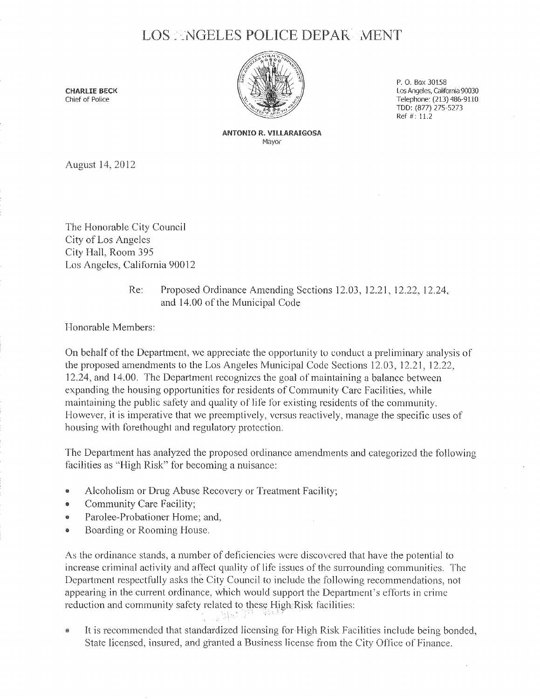## LOS. NGELES POLICE DEPAR MENT



P. 0. Box 30158 Los Angeles, california 90030 Telephone: (213) 486-9110 TOO: (877) 275-5273 Ref#: 11.2

ANTONIO R. VIllARAIGOSA Mayor

August 14, 20 12

The Honorable City Council City of Los Angeles City Hall, Room 395 Los Angeles, California 90012

## Re: Proposed Ordinance Amending Sections 12.03, 12.21, 12.22, 12.24, and 14.00 of the Municipal Code

Honorable Members:

On behalf of the Department, we appreciate the opportunity to conduct a preliminary analysis of the proposed amendments to the Los Angeles Municipal Code Sections 12.03, 12.21, 12.22, 12.24, and 14.00. The Department recognizes the goal of maintaining a balance between expanding the housing opportunities for residents of Community Care Facilities, while maintaining the public safety and quality of life for existing residents of the community\_ However, it is imperative that we preemptively, versus reactively, manage the specific uses of housing with forethought and regulatory protection.

The Department has analyzed the proposed ordinance amendments and categorized the following facilities as "High Risk" for becoming a nuisance:

- Alcoholism or Drug Abuse Recovery or Treatment Facility;
- Community Care Facility;
- Parolee-Probationer Home: and,
- Boarding or Rooming House.

As the ordinance stands, a number of deficiencies were discovered that have the potential to increase criminal activity and affect quality of life issues of the surrounding communities. The Department respectfully asks the City Council to include the following recommendations, not appearing in the current ordinance, which would support the Department's efforts in crime reduction and community safety related to these High Risk facilities: - 2월 51일)

• It is recommended that standardized licensing for High Risk Facilities include being bonded, State licensed, insured, and granted a Business license from the City Office of Finance.

CHARliE BECK Chief of Police